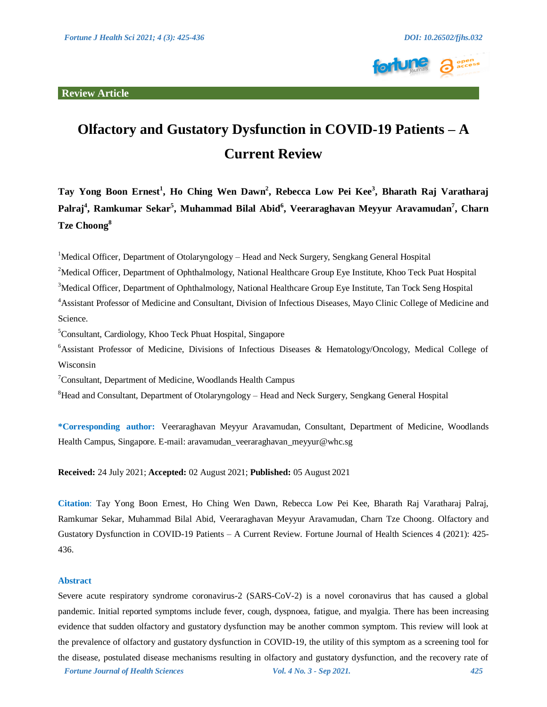

# **Olfactory and Gustatory Dysfunction in COVID-19 Patients – A Current Review**

**Tay Yong Boon Ernest<sup>1</sup> , Ho Ching Wen Dawn<sup>2</sup> , Rebecca Low Pei Kee<sup>3</sup> , Bharath Raj Varatharaj Palraj<sup>4</sup> , Ramkumar Sekar<sup>5</sup> , Muhammad Bilal Abid<sup>6</sup> , Veeraraghavan Meyyur Aravamudan<sup>7</sup> , Charn Tze Choong<sup>8</sup>**

<sup>1</sup>Medical Officer, Department of Otolaryngology – Head and Neck Surgery, Sengkang General Hospital

<sup>2</sup>Medical Officer, Department of Ophthalmology, National Healthcare Group Eye Institute, Khoo Teck Puat Hospital <sup>3</sup>Medical Officer, Department of Ophthalmology, National Healthcare Group Eye Institute, Tan Tock Seng Hospital

<sup>4</sup>Assistant Professor of Medicine and Consultant, Division of Infectious Diseases, Mayo Clinic College of Medicine and Science.

<sup>5</sup>Consultant, Cardiology, Khoo Teck Phuat Hospital, Singapore

<sup>6</sup>Assistant Professor of Medicine, Divisions of Infectious Diseases & Hematology/Oncology, Medical College of Wisconsin

 $7$ Consultant, Department of Medicine, Woodlands Health Campus

 ${}^{8}$ Head and Consultant, Department of Otolaryngology – Head and Neck Surgery, Sengkang General Hospital

**\*Corresponding author:** Veeraraghavan Meyyur Aravamudan, Consultant, Department of Medicine, Woodlands Health Campus, Singapore. E-mail: aravamudan\_veeraraghavan\_meyyur@whc.sg

**Received:** 24 July 2021; **Accepted:** 02 August 2021; **Published:** 05 August 2021

**Citation**: Tay Yong Boon Ernest, Ho Ching Wen Dawn, Rebecca Low Pei Kee, Bharath Raj Varatharaj Palraj, Ramkumar Sekar, Muhammad Bilal Abid, Veeraraghavan Meyyur Aravamudan, Charn Tze Choong. Olfactory and Gustatory Dysfunction in COVID-19 Patients – A Current Review. Fortune Journal of Health Sciences 4 (2021): 425- 436.

#### **Abstract**

*Fortune Journal of Health Sciences Vol. 4 No. 3 - Sep 2021. 425* Severe acute respiratory syndrome coronavirus-2 (SARS-CoV-2) is a novel coronavirus that has caused a global pandemic. Initial reported symptoms include fever, cough, dyspnoea, fatigue, and myalgia. There has been increasing evidence that sudden olfactory and gustatory dysfunction may be another common symptom. This review will look at the prevalence of olfactory and gustatory dysfunction in COVID-19, the utility of this symptom as a screening tool for the disease, postulated disease mechanisms resulting in olfactory and gustatory dysfunction, and the recovery rate of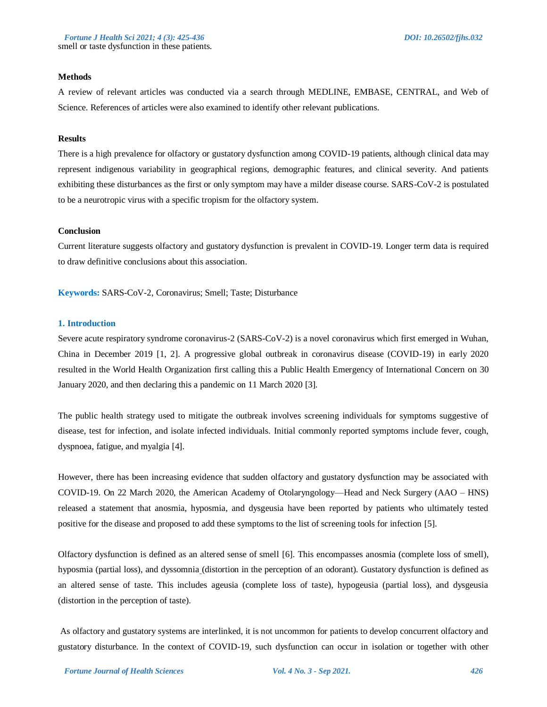#### **Methods**

A review of relevant articles was conducted via a search through MEDLINE, EMBASE, CENTRAL, and Web of Science. References of articles were also examined to identify other relevant publications.

#### **Results**

There is a high prevalence for olfactory or gustatory dysfunction among COVID-19 patients, although clinical data may represent indigenous variability in geographical regions, demographic features, and clinical severity. And patients exhibiting these disturbances as the first or only symptom may have a milder disease course. SARS-CoV-2 is postulated to be a neurotropic virus with a specific tropism for the olfactory system.

#### **Conclusion**

Current literature suggests olfactory and gustatory dysfunction is prevalent in COVID-19. Longer term data is required to draw definitive conclusions about this association.

**Keywords:** SARS-CoV-2, Coronavirus; Smell; Taste; Disturbance

#### **1. Introduction**

Severe acute respiratory syndrome coronavirus-2 (SARS-CoV-2) is a novel coronavirus which first emerged in Wuhan, China in December 2019 [1, 2]. A progressive global outbreak in coronavirus disease (COVID-19) in early 2020 resulted in the World Health Organization first calling this a Public Health Emergency of International Concern on 30 January 2020, and then declaring this a pandemic on 11 March 2020 [3].

The public health strategy used to mitigate the outbreak involves screening individuals for symptoms suggestive of disease, test for infection, and isolate infected individuals. Initial commonly reported symptoms include fever, cough, dyspnoea, fatigue, and myalgia [4].

However, there has been increasing evidence that sudden olfactory and gustatory dysfunction may be associated with COVID-19. On 22 March 2020, the American Academy of Otolaryngology—Head and Neck Surgery (AAO – HNS) released a statement that anosmia, hyposmia, and dysgeusia have been reported by patients who ultimately tested positive for the disease and proposed to add these symptoms to the list of screening tools for infection [5].

Olfactory dysfunction is defined as an altered sense of smell [6]. This encompasses anosmia (complete loss of smell), hyposmia (partial loss), and dyssomnia (distortion in the perception of an odorant). Gustatory dysfunction is defined as an altered sense of taste. This includes ageusia (complete loss of taste), hypogeusia (partial loss), and dysgeusia (distortion in the perception of taste).

As olfactory and gustatory systems are interlinked, it is not uncommon for patients to develop concurrent olfactory and gustatory disturbance. In the context of COVID-19, such dysfunction can occur in isolation or together with other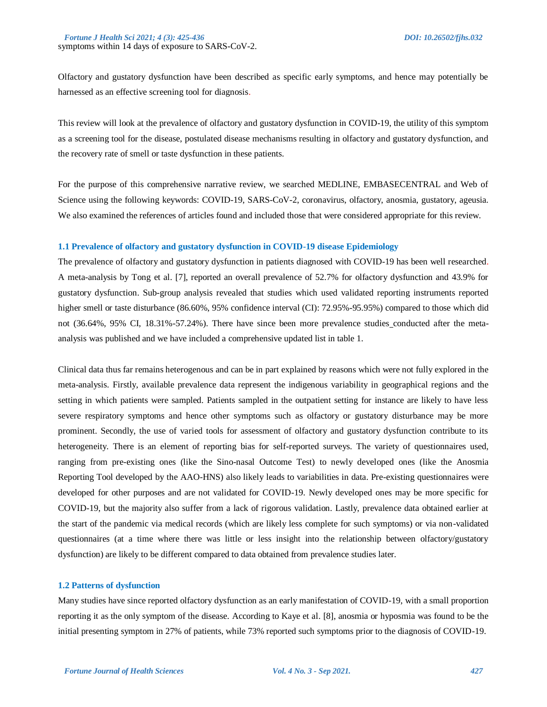Olfactory and gustatory dysfunction have been described as specific early symptoms, and hence may potentially be harnessed as an effective screening tool for diagnosis.

This review will look at the prevalence of olfactory and gustatory dysfunction in COVID-19, the utility of this symptom as a screening tool for the disease, postulated disease mechanisms resulting in olfactory and gustatory dysfunction, and the recovery rate of smell or taste dysfunction in these patients.

For the purpose of this comprehensive narrative review, we searched MEDLINE, EMBASECENTRAL and Web of Science using the following keywords: COVID-19, SARS-CoV-2, coronavirus, olfactory, anosmia, gustatory, ageusia. We also examined the references of articles found and included those that were considered appropriate for this review.

#### **1.1 Prevalence of olfactory and gustatory dysfunction in COVID-19 disease Epidemiology**

The prevalence of olfactory and gustatory dysfunction in patients diagnosed with COVID-19 has been well researched. A meta-analysis by Tong et al. [7], reported an overall prevalence of 52.7% for olfactory dysfunction and 43.9% for gustatory dysfunction. Sub-group analysis revealed that studies which used validated reporting instruments reported higher smell or taste disturbance (86.60%, 95% confidence interval (CI): 72.95%-95.95%) compared to those which did not (36.64%, 95% CI, 18.31%-57.24%). There have since been more prevalence studies conducted after the metaanalysis was published and we have included a comprehensive updated list in table 1.

Clinical data thus far remains heterogenous and can be in part explained by reasons which were not fully explored in the meta-analysis. Firstly, available prevalence data represent the indigenous variability in geographical regions and the setting in which patients were sampled. Patients sampled in the outpatient setting for instance are likely to have less severe respiratory symptoms and hence other symptoms such as olfactory or gustatory disturbance may be more prominent. Secondly, the use of varied tools for assessment of olfactory and gustatory dysfunction contribute to its heterogeneity. There is an element of reporting bias for self-reported surveys. The variety of questionnaires used, ranging from pre-existing ones (like the Sino-nasal Outcome Test) to newly developed ones (like the Anosmia Reporting Tool developed by the AAO-HNS) also likely leads to variabilities in data. Pre-existing questionnaires were developed for other purposes and are not validated for COVID-19. Newly developed ones may be more specific for COVID-19, but the majority also suffer from a lack of rigorous validation. Lastly, prevalence data obtained earlier at the start of the pandemic via medical records (which are likely less complete for such symptoms) or via non-validated questionnaires (at a time where there was little or less insight into the relationship between olfactory/gustatory dysfunction) are likely to be different compared to data obtained from prevalence studies later.

#### **1.2 Patterns of dysfunction**

Many studies have since reported olfactory dysfunction as an early manifestation of COVID-19, with a small proportion reporting it as the only symptom of the disease. According to Kaye et al. [8], anosmia or hyposmia was found to be the initial presenting symptom in 27% of patients, while 73% reported such symptoms prior to the diagnosis of COVID-19.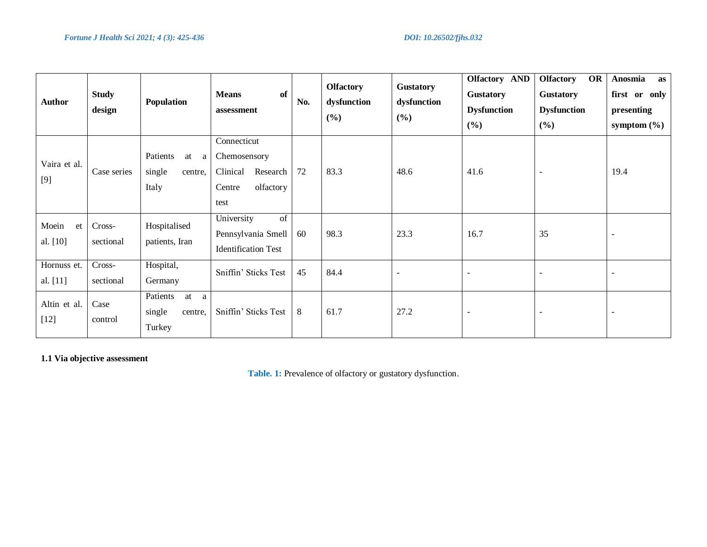| <b>Author</b>           | <b>Study</b><br>design | Population                                         | <b>of</b><br><b>Means</b><br>assessment                                            | No. | <b>Olfactory</b><br>dysfunction<br>(%) | <b>Gustatory</b><br>dysfunction<br>(%) | <b>Olfactory AND</b><br><b>Gustatory</b><br><b>Dysfunction</b><br>(%) | <b>OR</b><br><b>Olfactory</b><br><b>Gustatory</b><br><b>Dysfunction</b><br>(%) | Anosmia<br>as<br>first or only<br>presenting<br>symptom $(\% )$ |
|-------------------------|------------------------|----------------------------------------------------|------------------------------------------------------------------------------------|-----|----------------------------------------|----------------------------------------|-----------------------------------------------------------------------|--------------------------------------------------------------------------------|-----------------------------------------------------------------|
| Vaira et al.<br>[9]     | Case series            | Patients<br>at<br>a<br>single<br>centre,<br>Italy  | Connecticut<br>Chemosensory<br>Clinical<br>Research<br>olfactory<br>Centre<br>test | 72  | 83.3                                   | 48.6                                   | 41.6                                                                  | $\overline{\phantom{a}}$                                                       | 19.4                                                            |
| Moein<br>et<br>al. [10] | Cross-<br>sectional    | Hospitalised<br>patients, Iran                     | University<br>of<br>Pennsylvania Smell<br><b>Identification Test</b>               | 60  | 98.3                                   | 23.3                                   | 16.7                                                                  | 35                                                                             |                                                                 |
| Hornuss et.<br>al. [11] | Cross-<br>sectional    | Hospital,<br>Germany                               | Sniffin' Sticks Test                                                               | 45  | 84.4                                   | $\overline{\phantom{a}}$               |                                                                       | $\overline{\phantom{a}}$                                                       |                                                                 |
| Altin et al.<br>$[12]$  | Case<br>control        | Patients<br>at<br>a<br>single<br>centre,<br>Turkey | Sniffin' Sticks Test                                                               | 8   | 61.7                                   | 27.2                                   | $\overline{\phantom{a}}$                                              | $\overline{\phantom{a}}$                                                       |                                                                 |

# **1.1 Via objective assessment**

Table. 1: Prevalence of olfactory or gustatory dysfunction.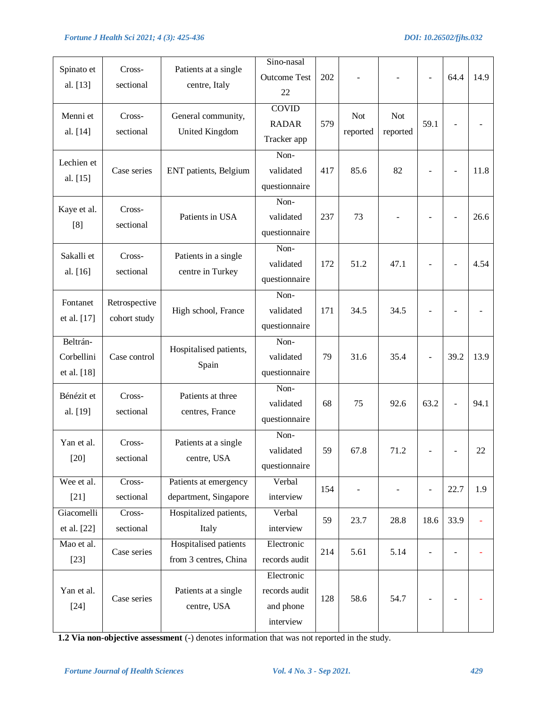| Spinato et<br>al. [13]                | Cross-<br>sectional           | Patients at a single<br>centre, Italy          | Sino-nasal<br><b>Outcome Test</b><br>22               | 202 |                        |                        |                          | 64.4                     | 14.9 |
|---------------------------------------|-------------------------------|------------------------------------------------|-------------------------------------------------------|-----|------------------------|------------------------|--------------------------|--------------------------|------|
| Menni et<br>al. [14]                  | Cross-<br>sectional           | General community,<br>United Kingdom           | <b>COVID</b><br><b>RADAR</b><br>Tracker app           | 579 | <b>Not</b><br>reported | <b>Not</b><br>reported | 59.1                     |                          |      |
| Lechien et<br>al. [15]                | Case series                   | ENT patients, Belgium                          | Non-<br>validated<br>questionnaire                    | 417 | 85.6                   | 82                     | $\blacksquare$           | $\overline{\phantom{a}}$ | 11.8 |
| Kaye et al.<br>[8]                    | Cross-<br>sectional           | Patients in USA                                | Non-<br>validated<br>questionnaire                    | 237 | 73                     |                        |                          |                          | 26.6 |
| Sakalli et<br>al. [16]                | Cross-<br>sectional           | Patients in a single<br>centre in Turkey       | Non-<br>validated<br>questionnaire                    | 172 | 51.2                   | 47.1                   |                          | $\sim$                   | 4.54 |
| Fontanet<br>et al. [17]               | Retrospective<br>cohort study | High school, France                            | Non-<br>validated<br>questionnaire                    | 171 | 34.5                   | 34.5                   |                          |                          |      |
| Beltrán-<br>Corbellini<br>et al. [18] | Case control                  | Hospitalised patients,<br>Spain                | Non-<br>validated<br>questionnaire                    | 79  | 31.6                   | 35.4                   | $\overline{\phantom{a}}$ | 39.2                     | 13.9 |
| Bénézit et<br>al. [19]                | Cross-<br>sectional           | Patients at three<br>centres, France           | Non-<br>validated<br>questionnaire                    | 68  | 75                     | 92.6                   | 63.2                     | $\overline{a}$           | 94.1 |
| Yan et al.<br>$[20]$                  | Cross-<br>sectional           | Patients at a single<br>centre, USA            | Non-<br>validated<br>questionnaire                    | 59  | 67.8                   | 71.2                   |                          |                          | 22   |
| Wee et al.<br>$[21]$                  | Cross-<br>sectional           | Patients at emergency<br>department, Singapore | Verbal<br>interview                                   | 154 |                        |                        | $\overline{\phantom{a}}$ | 22.7                     | 1.9  |
| Giacomelli<br>et al. [22]             | Cross-<br>sectional           | Hospitalized patients,<br>Italy                | Verbal<br>interview                                   | 59  | 23.7                   | 28.8                   | 18.6                     | 33.9                     |      |
| Mao et al.<br>$[23]$                  | Case series                   | Hospitalised patients<br>from 3 centres, China | Electronic<br>records audit                           | 214 | 5.61                   | 5.14                   | ÷                        | $\overline{a}$           |      |
| Yan et al.<br>$[24]$                  | Case series                   | Patients at a single<br>centre, USA            | Electronic<br>records audit<br>and phone<br>interview | 128 | 58.6                   | 54.7                   |                          |                          |      |

**1.2 Via non-objective assessment** (-) denotes information that was not reported in the study.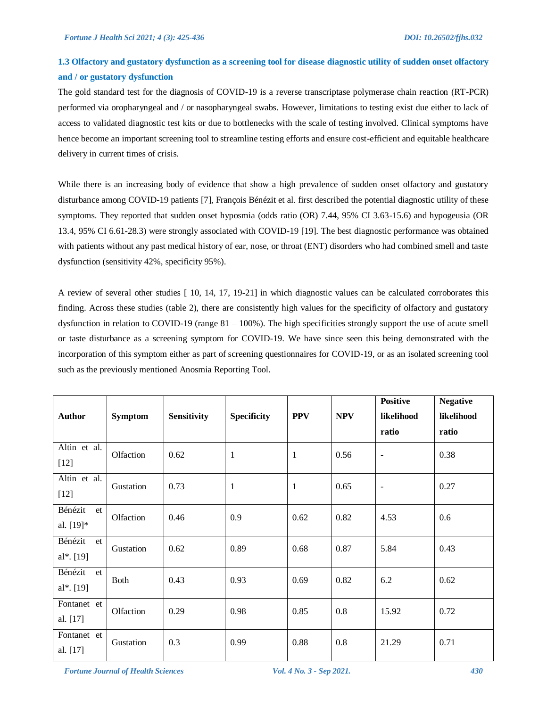# **1.3 Olfactory and gustatory dysfunction as a screening tool for disease diagnostic utility of sudden onset olfactory and / or gustatory dysfunction**

The gold standard test for the diagnosis of COVID-19 is a reverse transcriptase polymerase chain reaction (RT-PCR) performed via oropharyngeal and / or nasopharyngeal swabs. However, limitations to testing exist due either to lack of access to validated diagnostic test kits or due to bottlenecks with the scale of testing involved. Clinical symptoms have hence become an important screening tool to streamline testing efforts and ensure cost-efficient and equitable healthcare delivery in current times of crisis.

While there is an increasing body of evidence that show a high prevalence of sudden onset olfactory and gustatory disturbance among COVID-19 patients [7], François Bénézit et al. first described the potential diagnostic utility of these symptoms. They reported that sudden onset hyposmia (odds ratio (OR) 7.44, 95% CI 3.63-15.6) and hypogeusia (OR 13.4, 95% CI 6.61-28.3) were strongly associated with COVID-19 [19]. The best diagnostic performance was obtained with patients without any past medical history of ear, nose, or throat (ENT) disorders who had combined smell and taste dysfunction (sensitivity 42%, specificity 95%).

A review of several other studies [ 10, 14, 17, 19-21] in which diagnostic values can be calculated corroborates this finding. Across these studies (table 2), there are consistently high values for the specificity of olfactory and gustatory dysfunction in relation to COVID-19 (range  $81 - 100\%$ ). The high specificities strongly support the use of acute smell or taste disturbance as a screening symptom for COVID-19. We have since seen this being demonstrated with the incorporation of this symptom either as part of screening questionnaires for COVID-19, or as an isolated screening tool such as the previously mentioned Anosmia Reporting Tool.

| <b>Author</b>              | <b>Symptom</b> | <b>Sensitivity</b> | Specificity  | <b>PPV</b> | <b>NPV</b> | <b>Positive</b><br>likelihood<br>ratio | <b>Negative</b><br>likelihood<br>ratio |
|----------------------------|----------------|--------------------|--------------|------------|------------|----------------------------------------|----------------------------------------|
| Altin et al.<br>$[12]$     | Olfaction      | 0.62               | $\mathbf{1}$ | 1          | 0.56       | $\overline{\phantom{a}}$               | 0.38                                   |
| Altin et al.<br>$[12]$     | Gustation      | 0.73               | 1            | 1          | 0.65       | $\blacksquare$                         | 0.27                                   |
| Bénézit<br>et<br>al. [19]* | Olfaction      | 0.46               | 0.9          | 0.62       | 0.82       | 4.53                                   | 0.6                                    |
| Bénézit<br>et<br>al*. [19] | Gustation      | 0.62               | 0.89         | 0.68       | 0.87       | 5.84                                   | 0.43                                   |
| Bénézit<br>et<br>al*. [19] | <b>Both</b>    | 0.43               | 0.93         | 0.69       | 0.82       | 6.2                                    | 0.62                                   |
| Fontanet et<br>al. [17]    | Olfaction      | 0.29               | 0.98         | 0.85       | 0.8        | 15.92                                  | 0.72                                   |
| Fontanet et<br>al. [17]    | Gustation      | 0.3                | 0.99         | 0.88       | 0.8        | 21.29                                  | 0.71                                   |

*Fortune Journal of Health Sciences Vol. 4 No. 3 - Sep 2021. 430*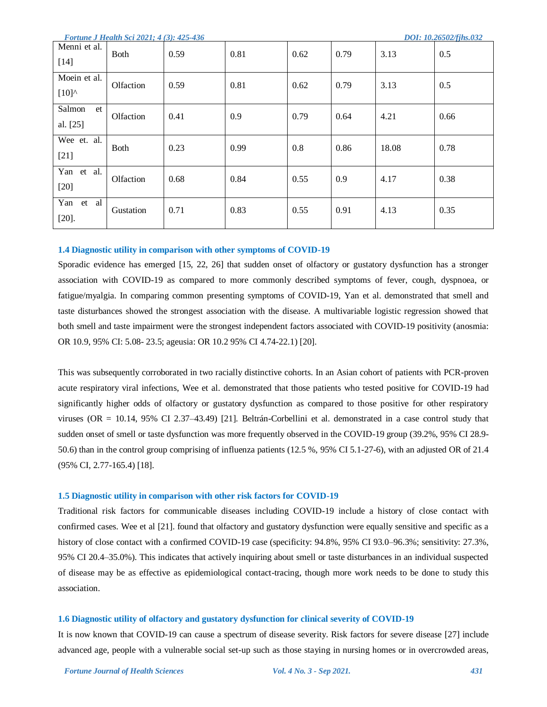| <b>Fortune J Health Sci 2021; 4(3): 425-436</b> |  |  |  |
|-------------------------------------------------|--|--|--|
|-------------------------------------------------|--|--|--|

| Menni et al.<br>$[14]$        | <b>Both</b> | 0.59 | 0.81 | 0.62 | 0.79 | 3.13  | 0.5  |
|-------------------------------|-------------|------|------|------|------|-------|------|
| Moein et al.<br>$[10]^\wedge$ | Olfaction   | 0.59 | 0.81 | 0.62 | 0.79 | 3.13  | 0.5  |
| Salmon<br>et<br>al. [25]      | Olfaction   | 0.41 | 0.9  | 0.79 | 0.64 | 4.21  | 0.66 |
| Wee et. al.<br>$[21]$         | <b>Both</b> | 0.23 | 0.99 | 0.8  | 0.86 | 18.08 | 0.78 |
| Yan et al.<br>$[20]$          | Olfaction   | 0.68 | 0.84 | 0.55 | 0.9  | 4.17  | 0.38 |
| Yan<br>al<br>et<br>$[20]$ .   | Gustation   | 0.71 | 0.83 | 0.55 | 0.91 | 4.13  | 0.35 |

#### **1.4 Diagnostic utility in comparison with other symptoms of COVID-19**

Sporadic evidence has emerged [15, 22, 26] that sudden onset of olfactory or gustatory dysfunction has a stronger association with COVID-19 as compared to more commonly described symptoms of fever, cough, dyspnoea, or fatigue/myalgia. In comparing common presenting symptoms of COVID-19, Yan et al. demonstrated that smell and taste disturbances showed the strongest association with the disease. A multivariable logistic regression showed that both smell and taste impairment were the strongest independent factors associated with COVID-19 positivity (anosmia: OR 10.9, 95% CI: 5.08- 23.5; ageusia: OR 10.2 95% CI 4.74-22.1) [20].

This was subsequently corroborated in two racially distinctive cohorts. In an Asian cohort of patients with PCR-proven acute respiratory viral infections, Wee et al. demonstrated that those patients who tested positive for COVID-19 had significantly higher odds of olfactory or gustatory dysfunction as compared to those positive for other respiratory viruses (OR = 10.14, 95% CI 2.37–43.49) [21]. Beltrán-Corbellini et al. demonstrated in a case control study that sudden onset of smell or taste dysfunction was more frequently observed in the COVID-19 group (39.2%, 95% CI 28.9- 50.6) than in the control group comprising of influenza patients (12.5 %, 95% CI 5.1-27-6), with an adjusted OR of 21.4 (95% CI, 2.77-165.4) [18].

#### **1.5 Diagnostic utility in comparison with other risk factors for COVID-19**

Traditional risk factors for communicable diseases including COVID-19 include a history of close contact with confirmed cases. Wee et al [21]. found that olfactory and gustatory dysfunction were equally sensitive and specific as a history of close contact with a confirmed COVID-19 case (specificity: 94.8%, 95% CI 93.0–96.3%; sensitivity: 27.3%, 95% CI 20.4–35.0%). This indicates that actively inquiring about smell or taste disturbances in an individual suspected of disease may be as effective as epidemiological contact-tracing, though more work needs to be done to study this association.

#### **1.6 Diagnostic utility of olfactory and gustatory dysfunction for clinical severity of COVID-19**

It is now known that COVID-19 can cause a spectrum of disease severity. Risk factors for severe disease [27] include advanced age, people with a vulnerable social set-up such as those staying in nursing homes or in overcrowded areas,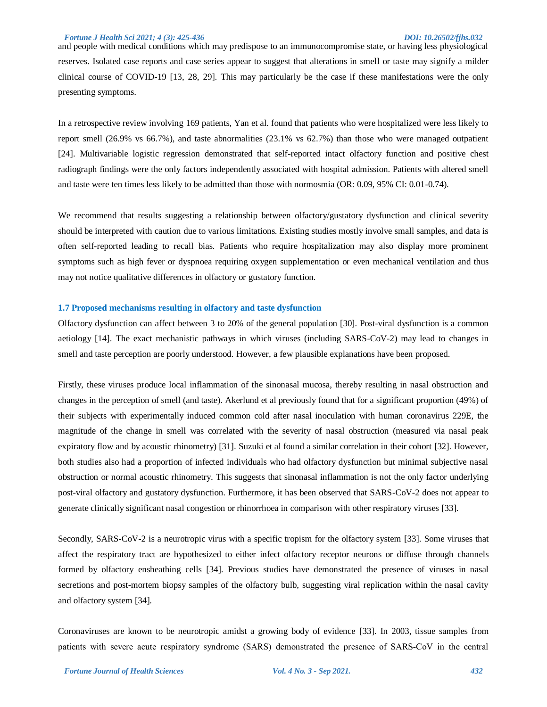#### *Fortune J Health Sci 2021; 4 (3): 425-436 DOI: 10.26502/fjhs.032*

and people with medical conditions which may predispose to an immunocompromise state, or having less physiological reserves. Isolated case reports and case series appear to suggest that alterations in smell or taste may signify a milder clinical course of COVID-19 [13, 28, 29]. This may particularly be the case if these manifestations were the only presenting symptoms.

In a retrospective review involving 169 patients, Yan et al. found that patients who were hospitalized were less likely to report smell (26.9% vs 66.7%), and taste abnormalities (23.1% vs 62.7%) than those who were managed outpatient [24]. Multivariable logistic regression demonstrated that self-reported intact olfactory function and positive chest radiograph findings were the only factors independently associated with hospital admission. Patients with altered smell and taste were ten times less likely to be admitted than those with normosmia (OR: 0.09, 95% CI: 0.01-0.74).

We recommend that results suggesting a relationship between olfactory/gustatory dysfunction and clinical severity should be interpreted with caution due to various limitations. Existing studies mostly involve small samples, and data is often self-reported leading to recall bias. Patients who require hospitalization may also display more prominent symptoms such as high fever or dyspnoea requiring oxygen supplementation or even mechanical ventilation and thus may not notice qualitative differences in olfactory or gustatory function.

#### **1.7 Proposed mechanisms resulting in olfactory and taste dysfunction**

Olfactory dysfunction can affect between 3 to 20% of the general population [30]. Post-viral dysfunction is a common aetiology [14]. The exact mechanistic pathways in which viruses (including SARS-CoV-2) may lead to changes in smell and taste perception are poorly understood. However, a few plausible explanations have been proposed.

Firstly, these viruses produce local inflammation of the sinonasal mucosa, thereby resulting in nasal obstruction and changes in the perception of smell (and taste). Akerlund et al previously found that for a significant proportion (49%) of their subjects with experimentally induced common cold after nasal inoculation with human coronavirus 229E, the magnitude of the change in smell was correlated with the severity of nasal obstruction (measured via nasal peak expiratory flow and by acoustic rhinometry) [31]. Suzuki et al found a similar correlation in their cohort [32]. However, both studies also had a proportion of infected individuals who had olfactory dysfunction but minimal subjective nasal obstruction or normal acoustic rhinometry. This suggests that sinonasal inflammation is not the only factor underlying post-viral olfactory and gustatory dysfunction. Furthermore, it has been observed that SARS-CoV-2 does not appear to generate clinically significant nasal congestion or rhinorrhoea in comparison with other respiratory viruses [33].

Secondly, SARS-CoV-2 is a neurotropic virus with a specific tropism for the olfactory system [33]. Some viruses that affect the respiratory tract are hypothesized to either infect olfactory receptor neurons or diffuse through channels formed by olfactory ensheathing cells [34]. Previous studies have demonstrated the presence of viruses in nasal secretions and post-mortem biopsy samples of the olfactory bulb, suggesting viral replication within the nasal cavity and olfactory system [34].

Coronaviruses are known to be neurotropic amidst a growing body of evidence [33]. In 2003, tissue samples from patients with severe acute respiratory syndrome (SARS) demonstrated the presence of SARS‐CoV in the central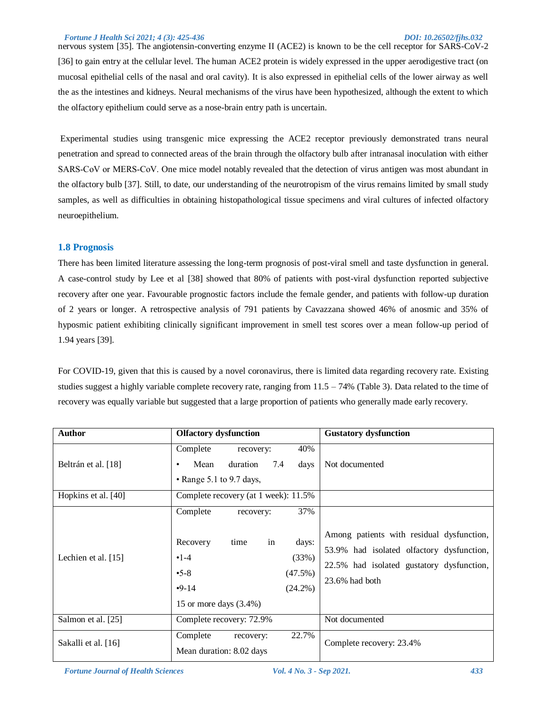#### *Fortune J Health Sci 2021; 4 (3): 425-436 DOI: 10.26502/fjhs.032*

nervous system [35]. The angiotensin-converting enzyme II (ACE2) is known to be the cell receptor for SARS-CoV-2 [36] to gain entry at the cellular level. The human ACE2 protein is widely expressed in the upper aerodigestive tract (on mucosal epithelial cells of the nasal and oral cavity). It is also expressed in epithelial cells of the lower airway as well the as the intestines and kidneys. Neural mechanisms of the virus have been hypothesized, although the extent to which the olfactory epithelium could serve as a nose-brain entry path is uncertain.

Experimental studies using transgenic mice expressing the ACE2 receptor previously demonstrated trans neural penetration and spread to connected areas of the brain through the olfactory bulb after intranasal inoculation with either SARS-CoV or MERS-CoV. One mice model notably revealed that the detection of virus antigen was most abundant in the olfactory bulb [37]. Still, to date, our understanding of the neurotropism of the virus remains limited by small study samples, as well as difficulties in obtaining histopathological tissue specimens and viral cultures of infected olfactory neuroepithelium.

#### **1.8 Prognosis**

There has been limited literature assessing the long-term prognosis of post-viral smell and taste dysfunction in general. A case-control study by Lee et al [38] showed that 80% of patients with post-viral dysfunction reported subjective recovery after one year. Favourable prognostic factors include the female gender, and patients with follow-up duration of 2 years or longer. A retrospective analysis of 791 patients by Cavazzana showed 46% of anosmic and 35% of hyposmic patient exhibiting clinically significant improvement in smell test scores over a mean follow-up period of 1.94 years [39].

For COVID-19, given that this is caused by a novel coronavirus, there is limited data regarding recovery rate. Existing studies suggest a highly variable complete recovery rate, ranging from 11.5 – 74% (Table 3). Data related to the time of recovery was equally variable but suggested that a large proportion of patients who generally made early recovery.

| <b>Author</b>       | <b>Olfactory dysfunction</b>                                                                                                      | <b>Gustatory dysfunction</b>                                                                                                                                                   |
|---------------------|-----------------------------------------------------------------------------------------------------------------------------------|--------------------------------------------------------------------------------------------------------------------------------------------------------------------------------|
| Beltrán et al. [18] | Complete<br>recovery:<br>Mean<br>duration<br>7.4<br>• Range 5.1 to 9.7 days,                                                      | 40%<br>Not documented<br>days                                                                                                                                                  |
| Hopkins et al. [40] | Complete recovery (at 1 week): 11.5%                                                                                              |                                                                                                                                                                                |
| Lechien et al. [15] | Complete<br>recovery:<br>Recovery<br>time<br>in<br>$•1-4$<br>$-5-8$<br>(47.5%)<br>$-9-14$<br>$(24.2\%)$<br>15 or more days (3.4%) | 37%<br>Among patients with residual dysfunction,<br>days:<br>53.9% had isolated olfactory dysfunction,<br>(33%)<br>22.5% had isolated gustatory dysfunction,<br>23.6% had both |
| Salmon et al. [25]  | Complete recovery: 72.9%                                                                                                          | Not documented                                                                                                                                                                 |
| Sakalli et al. [16] | Complete<br>22.7%<br>recovery:<br>Mean duration: 8.02 days                                                                        | Complete recovery: 23.4%                                                                                                                                                       |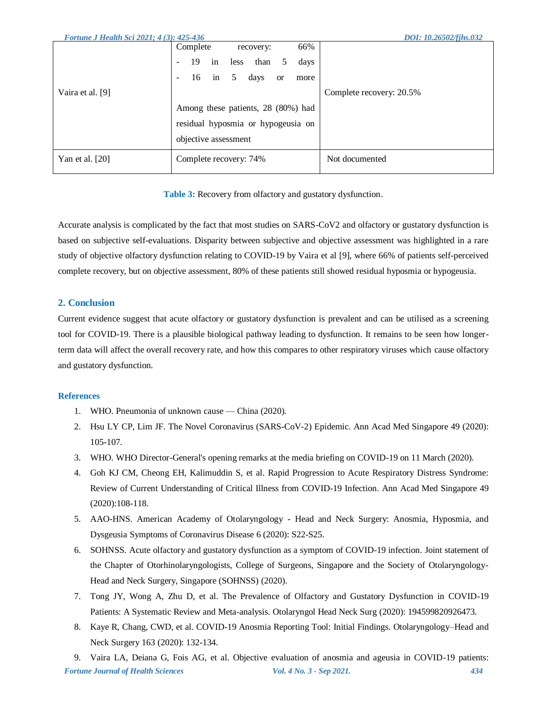| <b>Fortune J Health Sci 2021; 4(3): 425-436</b> | DOI: 10.26502/fihs.032                                            |
|-------------------------------------------------|-------------------------------------------------------------------|
|                                                 | 66%<br>Complete<br>recovery:                                      |
|                                                 | in<br>19<br>than<br>less<br>days<br>5<br>$\overline{\phantom{a}}$ |
|                                                 | 5<br>16<br>days<br>in<br><b>or</b><br>more                        |
| Vaira et al. [9]                                | Complete recovery: 20.5%                                          |
|                                                 | Among these patients, 28 (80%) had                                |
|                                                 | residual hyposmia or hypogeusia on                                |
|                                                 | objective assessment                                              |
| Yan et al. $[20]$                               | Not documented<br>Complete recovery: 74%                          |

**Table 3:** Recovery from olfactory and gustatory dysfunction.

Accurate analysis is complicated by the fact that most studies on SARS-CoV2 and olfactory or gustatory dysfunction is based on subjective self-evaluations. Disparity between subjective and objective assessment was highlighted in a rare study of objective olfactory dysfunction relating to COVID-19 by Vaira et al [9], where 66% of patients self-perceived complete recovery, but on objective assessment, 80% of these patients still showed residual hyposmia or hypogeusia.

## **2. Conclusion**

Current evidence suggest that acute olfactory or gustatory dysfunction is prevalent and can be utilised as a screening tool for COVID-19. There is a plausible biological pathway leading to dysfunction. It remains to be seen how longerterm data will affect the overall recovery rate, and how this compares to other respiratory viruses which cause olfactory and gustatory dysfunction.

### **References**

- 1. WHO. Pneumonia of unknown cause China (2020).
- 2. Hsu LY CP, Lim JF. The Novel Coronavirus (SARS-CoV-2) Epidemic. Ann Acad Med Singapore 49 (2020): 105-107.
- 3. WHO. WHO Director-General's opening remarks at the media briefing on COVID-19 on 11 March (2020).
- 4. Goh KJ CM, Cheong EH, Kalimuddin S, et al. Rapid Progression to Acute Respiratory Distress Syndrome: Review of Current Understanding of Critical Illness from COVID-19 Infection. Ann Acad Med Singapore 49 (2020):108-118.
- 5. AAO-HNS. American Academy of Otolaryngology Head and Neck Surgery: Anosmia, Hyposmia, and Dysgeusia Symptoms of Coronavirus Disease 6 (2020): S22-S25.
- 6. SOHNSS. Acute olfactory and gustatory dysfunction as a symptom of COVID-19 infection. Joint statement of the Chapter of Otorhinolaryngologists, College of Surgeons, Singapore and the Society of Otolaryngology-Head and Neck Surgery, Singapore (SOHNSS) (2020).
- 7. Tong JY, Wong A, Zhu D, et al. The Prevalence of Olfactory and Gustatory Dysfunction in COVID-19 Patients: A Systematic Review and Meta-analysis. Otolaryngol Head Neck Surg (2020): 194599820926473.
- 8. Kaye R, Chang, CWD, et al. COVID-19 Anosmia Reporting Tool: Initial Findings. Otolaryngology–Head and Neck Surgery 163 (2020): 132-134.

*Fortune Journal of Health Sciences Vol. 4 No. 3 - Sep 2021. 434* 9. Vaira LA, Deiana G, Fois AG, et al. Objective evaluation of anosmia and ageusia in COVID-19 patients: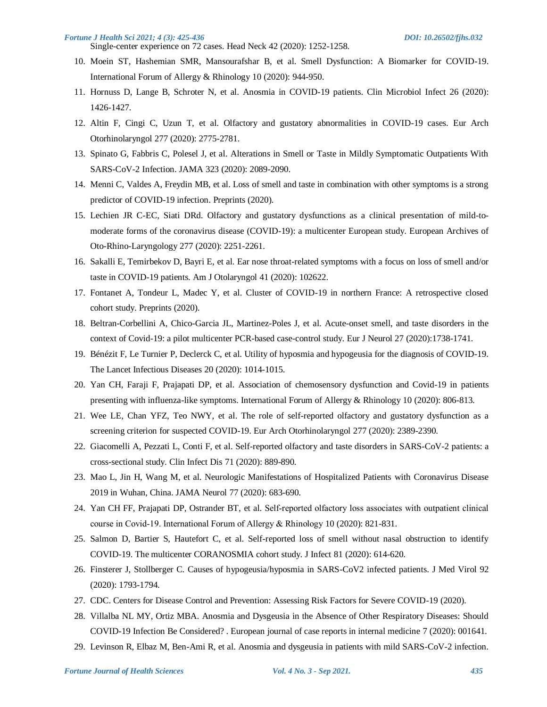#### *Fortune J Health Sci 2021; 4 (3): 425-436 DOI: 10.26502/fjhs.032*

- Single-center experience on 72 cases. Head Neck 42 (2020): 1252-1258.
- 10. Moein ST, Hashemian SMR, Mansourafshar B, et al. Smell Dysfunction: A Biomarker for COVID-19. International Forum of Allergy & Rhinology 10 (2020): 944-950.
- 11. Hornuss D, Lange B, Schroter N, et al. Anosmia in COVID-19 patients. Clin Microbiol Infect 26 (2020): 1426-1427.
- 12. Altin F, Cingi C, Uzun T, et al. Olfactory and gustatory abnormalities in COVID-19 cases. Eur Arch Otorhinolaryngol 277 (2020): 2775-2781.
- 13. Spinato G, Fabbris C, Polesel J, et al. Alterations in Smell or Taste in Mildly Symptomatic Outpatients With SARS-CoV-2 Infection. JAMA 323 (2020): 2089-2090.
- 14. Menni C, Valdes A, Freydin MB, et al. Loss of smell and taste in combination with other symptoms is a strong predictor of COVID-19 infection. Preprints (2020).
- 15. Lechien JR C-EC, Siati DRd. Olfactory and gustatory dysfunctions as a clinical presentation of mild-tomoderate forms of the coronavirus disease (COVID-19): a multicenter European study. European Archives of Oto-Rhino-Laryngology 277 (2020): 2251-2261.
- 16. Sakalli E, Temirbekov D, Bayri E, et al. Ear nose throat-related symptoms with a focus on loss of smell and/or taste in COVID-19 patients. Am J Otolaryngol 41 (2020): 102622.
- 17. Fontanet A, Tondeur L, Madec Y, et al. Cluster of COVID-19 in northern France: A retrospective closed cohort study. Preprints (2020).
- 18. Beltran-Corbellini A, Chico-Garcia JL, Martinez-Poles J, et al. Acute-onset smell, and taste disorders in the context of Covid-19: a pilot multicenter PCR-based case-control study. Eur J Neurol 27 (2020):1738-1741.
- 19. Bénézit F, Le Turnier P, Declerck C, et al. Utility of hyposmia and hypogeusia for the diagnosis of COVID-19. The Lancet Infectious Diseases 20 (2020): 1014-1015.
- 20. Yan CH, Faraji F, Prajapati DP, et al. Association of chemosensory dysfunction and Covid-19 in patients presenting with influenza-like symptoms. International Forum of Allergy & Rhinology 10 (2020): 806-813.
- 21. Wee LE, Chan YFZ, Teo NWY, et al. The role of self-reported olfactory and gustatory dysfunction as a screening criterion for suspected COVID-19. Eur Arch Otorhinolaryngol 277 (2020): 2389-2390.
- 22. Giacomelli A, Pezzati L, Conti F, et al. Self-reported olfactory and taste disorders in SARS-CoV-2 patients: a cross-sectional study. Clin Infect Dis 71 (2020): 889-890.
- 23. Mao L, Jin H, Wang M, et al. Neurologic Manifestations of Hospitalized Patients with Coronavirus Disease 2019 in Wuhan, China. JAMA Neurol 77 (2020): 683-690.
- 24. Yan CH FF, Prajapati DP, Ostrander BT, et al. Self‐reported olfactory loss associates with outpatient clinical course in Covid‐19. International Forum of Allergy & Rhinology 10 (2020): 821-831.
- 25. Salmon D, Bartier S, Hautefort C, et al. Self-reported loss of smell without nasal obstruction to identify COVID-19. The multicenter CORANOSMIA cohort study. J Infect 81 (2020): 614-620.
- 26. Finsterer J, Stollberger C. Causes of hypogeusia/hyposmia in SARS-CoV2 infected patients. J Med Virol 92 (2020): 1793-1794.
- 27. CDC. Centers for Disease Control and Prevention: Assessing Risk Factors for Severe COVID-19 (2020).
- 28. Villalba NL MY, Ortiz MBA. Anosmia and Dysgeusia in the Absence of Other Respiratory Diseases: Should COVID-19 Infection Be Considered? . European journal of case reports in internal medicine 7 (2020): 001641.
- 29. Levinson R, Elbaz M, Ben-Ami R, et al. Anosmia and dysgeusia in patients with mild SARS-CoV-2 infection.